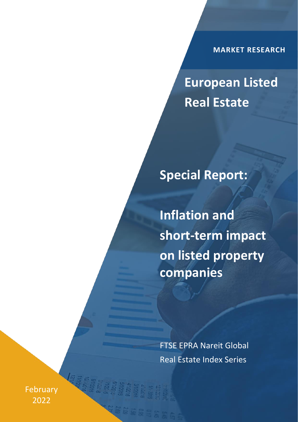**MARKET RESEARCH**

**European Listed Real Estate**

**Special Report:**

**Inflation and short-term impact on listed property companies** 

FTSE EPRA Nareit Global Real Estate Index Series

February 2022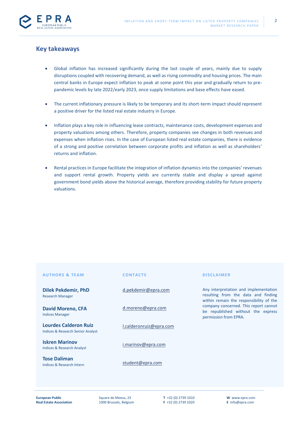

# **Key takeaways**

- Global inflation has increased significantly during the last couple of years, mainly due to supply disruptions coupled with recovering demand, as well as rising commodity and housing prices. The main central banks in Europe expect inflation to peak at some point this year and gradually return to prepandemic levels by late 2022/early 2023, once supply limitations and base effects have eased.
- The current inflationary pressure is likely to be temporary and its short-term impact should represent a positive driver for the listed real estate industry in Europe.
- Inflation plays a key role in influencing lease contracts, maintenance costs, development expenses and property valuations among others. Therefore, property companies see changes in both revenues and expenses when inflation rises. In the case of European listed real estate companies, there is evidence of a strong and positive correlation between corporate profits and inflation as well as shareholders' returns and inflation.
- Rental practices in Europe facilitate the integration of inflation dynamics into the companies' revenues and support rental growth. Property yields are currently stable and display a spread against government bond yields above the historical average, therefore providing stability for future property valuations.

| <b>AUTHORS &amp; TEAM</b>                                                    | <b>CONTACTS</b>         | <b>DISCLAIMER</b>                                                                                                       |
|------------------------------------------------------------------------------|-------------------------|-------------------------------------------------------------------------------------------------------------------------|
| <b>Dilek Pekdemir, PhD</b><br><b>Research Manager</b>                        | d.pekdemir@epra.com     | Any interpretation and implementation<br>resulting from the data and finding<br>within remain the responsibility of the |
| <b>David Moreno, CFA</b><br><b>Indices Manager</b>                           | d.moreno@epra.com       | company concerned. This report cannot<br>be republished without the express<br>permission from EPRA.                    |
| <b>Lourdes Calderon Ruiz</b><br><b>Indices &amp; Research Senior Analyst</b> | l.calderonruiz@epra.com |                                                                                                                         |
| <b>Iskren Marinov</b><br><b>Indices &amp; Research Analyst</b>               | i.marinov@epra.com      |                                                                                                                         |
| <b>Tose Daliman</b><br>Indices & Research Intern                             | student@epra.com        |                                                                                                                         |
|                                                                              |                         |                                                                                                                         |

**T** +32 (0) 2739 1010 **F** +32 (0) 2739 1020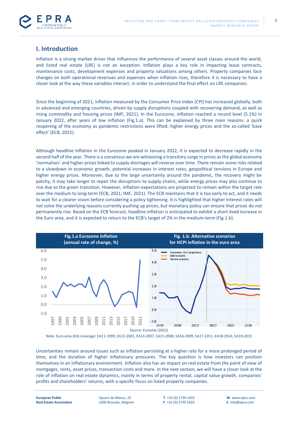



# **I. Introduction**

Inflation is a strong market driver that influences the performance of several asset classes around the world, and listed real estate (LRE) is not an exception. Inflation plays a key role in impacting lease contracts, maintenance costs, development expenses and property valuations among others. Property companies face changes on both operational revenues and expenses when inflation rises, therefore it is necessary to have a closer look at the way these variables interact, in order to understand the final effect on LRE companies.

Since the beginning of 2021, inflation measured by the Consumer Price Index (CPI) has increased globally, both in advanced and emerging countries, driven by supply disruptions coupled with recovering demand, as well as rising commodity and housing prices (IMF, 2021). In the Eurozone, inflation reached a record level (5.1%) in January 2022, after years of low inflation (Fig.1.a). This can be explained by three main reasons: a quick reopening of the economy as pandemic restrictions were lifted, higher energy prices and the so-called 'base effect' (ECB, 2021).

Although headline inflation in the Eurozone peaked in January 2022, it is expected to decrease rapidly in the second half of the year. There is a consensus we are witnessing a transitory surge in prices as the global economy 'normalises' and higher prices linked to supply shortages will reverse over time. There remain some risks related to a slowdown in economic growth, potential increases in interest rates, geopolitical tensions in Europe and higher energy prices. Moreover, due to the large uncertainty around the pandemic, the recovery might be patchy; it may take longer to repair the disruptions to supply chains, while energy prices may also continue to rise due to the green transition. However, inflation expectations are projected to remain within the target rate over the medium to long-term (ECB, 2021; IMF, 2021). The ECB maintains that it is too early to act, and it needs to wait for a clearer vision before considering a policy tightening. It is highlighted that higher interest rates will not solve the underlying reasons currently pushing up prices, but monetary policy can ensure that prices do not permanently rise. Based on the ECB forecast, headline inflation is anticipated to exhibit a short-lived increase in the Euro area, and it is expected to return to the ECB's target of 2% in the medium-term (Fig.1.b).



Note: Euro area (EA) coverage: EA11-1999, EA12-2001, EA13-2007, EA15-2008, EA16-2009, EA17-2011, EA18-2014, EA19-2015

Uncertainties remain around issues such as inflation persisting at a higher rate for a more prolonged period of time, and the duration of higher inflationary pressures. The key question is how investors can position themselves in an inflationary environment. Inflation also has an impact on real estate from the point of view of mortgages, rents, asset prices, transaction costs and more. In the next section, we will have a closer look at the role of inflation on real estate dynamics, mainly in terms of property rental, capital value growth, companies' profits and shareholders' returns, with a specific focus on listed property companies.

3

**European Public Real Estate Association** Square de Meeus, 23 1000 Brussels, Belgium **T** +32 (0) 2739 1010 **F** +32 (0) 2739 1020 **W** www.epra.com **E** info@epra.com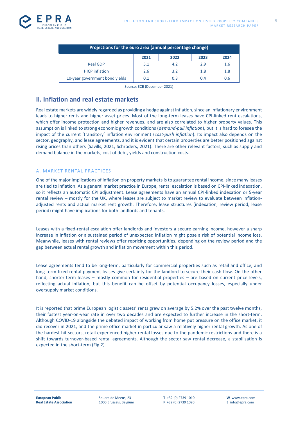| Projections for the euro area (annual percentage change) |      |      |      |      |  |  |
|----------------------------------------------------------|------|------|------|------|--|--|
|                                                          | 2021 | 2022 | 2023 | 2024 |  |  |
| <b>Real GDP</b>                                          | 5.1  | 4.2  | 2.9  | 1.6  |  |  |
| <b>HICP</b> inflation                                    | 2.6  | 3.2  | 1.8  | 1.8  |  |  |
| 10-year government bond yields                           | 0.1  | 0.3  | 0.4  | 0.6  |  |  |

Source: ECB (December 2021)

# **II. Inflation and real estate markets**

Real estate markets are widely regarded as providing a hedge against inflation, since an inflationary environment leads to higher rents and higher asset prices. Most of the long-term leases have CPI-linked rent escalations, which offer income protection and higher revenues, and are also correlated to higher property values. This assumption is linked to strong economic growth conditions (*demand-pull inflation*), but it is hard to foresee the impact of the current 'transitory' inflation environment (*cost-push inflation*). Its impact also depends on the sector, geography, and lease agreements, and it is evident that certain properties are better positioned against rising prices than others (Savills, 2021; Schroders, 2021). There are other relevant factors, such as supply and demand balance in the markets, cost of debt, yields and construction costs.

## A. MARKET RENTAL PRACTICES

One of the major implications of inflation on property markets is to guarantee rental income, since many leases are tied to inflation. As a general market practice in Europe, rental escalation is based on CPI-linked indexation, so it reflects an automatic CPI adjustment. Lease agreements have an annual CPI-linked indexation or 5-year rental review – mostly for the UK, where leases are subject to market review to evaluate between inflationadjusted rents and actual market rent growth. Therefore, lease structures (indexation, review period, lease period) might have implications for both landlords and tenants.

Leases with a fixed-rental escalation offer landlords and investors a secure earning income, however a sharp increase in inflation or a sustained period of unexpected inflation might pose a risk of potential income loss. Meanwhile, leases with rental reviews offer repricing opportunities, depending on the review period and the gap between actual rental growth and inflation movement within this period.

Lease agreements tend to be long-term, particularly for commercial properties such as retail and office, and long-term fixed rental payment leases give certainty for the landlord to secure their cash flow. On the other hand, shorter-term leases – mostly common for residential properties – are based on current price levels, reflecting actual inflation, but this benefit can be offset by potential occupancy losses, especially under oversupply market conditions.

It is reported that prime European logistic assets' rents grew on average by 5.2% over the past twelve months, their fastest year-on-year rate in over two decades and are expected to further increase in the short-term. Although COVID-19 alongside the debated impact of working from home put pressure on the office market, it did recover in 2021, and the prime office market in particular saw a relatively higher rental growth. As one of the hardest hit sectors, retail experienced higher rental losses due to the pandemic restrictions and there is a shift towards turnover-based rental agreements. Although the sector saw rental decrease, a stabilisation is expected in the short-term (Fig.2).

4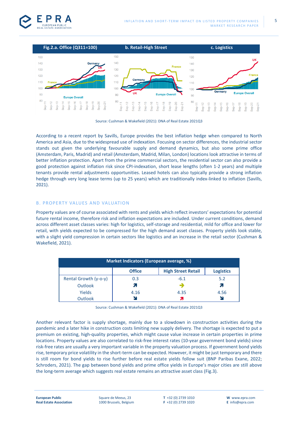





According to a recent report by Savills, Europe provides the best inflation hedge when compared to North America and Asia, due to the widespread use of indexation. Focusing on sector differences, the industrial sector stands out given the underlying favourable supply and demand dynamics, but also some prime office (Amsterdam, Paris, Madrid) and retail (Amsterdam, Madrid, Milan, London) locations look attractive in terms of better inflation protection. Apart from the prime commercial sectors, the residential sector can also provide a good protection against inflation risk since CPI-indexation, short lease lengths (often 1-2 years) and multiple tenants provide rental adjustments opportunities. Leased hotels can also typically provide a strong inflation hedge through very long lease terms (up to 25 years) which are traditionally index-linked to inflation (Savills, 2021).

## B. PROPERTY VALUES AND VALUATION

Property values are of course associated with rents and yields which reflect investors' expectations for potential future rental income, therefore risk and inflation expectations are included. Under current conditions, demand across different asset classes varies: high for logistics, self-storage and residential, mild for office and lower for retail, with yields expected to be compressed for the high demand asset classes. Property yields look stable, with a slight yield compression in certain sectors like logistics and an increase in the retail sector (Cushman & Wakefield, 2021).

| Market Indicators (European average, %) |               |                           |                  |  |  |
|-----------------------------------------|---------------|---------------------------|------------------|--|--|
|                                         | <b>Office</b> | <b>High Street Retail</b> | <b>Logistics</b> |  |  |
| Rental Growth (y-o-y)                   | 0.3           | $-6.1$                    | 5.2              |  |  |
| <b>Outlook</b>                          |               |                           |                  |  |  |
| Yields                                  | 4.16          | 4.35                      | 4.56             |  |  |
| <b>Outlook</b>                          |               |                           |                  |  |  |

Source: Cushman & Wakefield (2021): DNA of Real Estate 2021Q3

Another relevant factor is supply shortage, mainly due to a slowdown in construction activities during the pandemic and a later hike in construction costs limiting new supply delivery. The shortage is expected to put a premium on existing, high-quality properties, which might cause value increase in certain properties in prime locations. Property values are also correlated to risk-free interest rates (10-year government bond yields) since risk-free rates are usually a very important variable in the property valuation process. If government bond yields rise, temporary price volatility in the short-term can be expected. However, it might be just temporary and there is still room for bond yields to rise further before real estate yields follow suit (BNP Paribas Exane, 2022; Schroders, 2021). The gap between bond yields and prime office yields in Europe's major cities are still above the long-term average which suggests real estate remains an attractive asset class (Fig.3).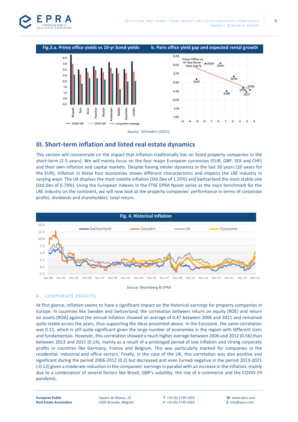



# **III. Short-term inflation and listed real estate dynamics**

This section will concentrate on the impact that inflation traditionally has on listed property companies in the short-term (1-5 years). We will mainly focus on the four major European currencies (EUR, GBP, SEK and CHF) and their own inflation and capital markets. Despite having similar dynamics in the last 30 years (20 years for the EUR), inflation in these four economies shows different characteristics and impacts the LRE industry in varying ways. The UK displays the most volatile inflation (Std.Dev of 1.25%) and Switzerland the most stable one (Std.Dev of 0.79%). Using the European indexes in the FTSE EPRA Nareit series as the main benchmark for the LRE industry on the continent, we will now look at the property companies' performance in terms of corporate profits, dividends and shareholders' total return.



Source: Bloomberg & EPRA

## A. CORPORATE PROFITS

At first glance, inflation seems to have a significant impact on the historical earnings for property companies in Europe. In countries like Sweden and Switzerland, the correlation between return on equity (ROE) and return on assets (ROA) against the annual inflation showed an average of 0.47 between 2006 and 2021 and remained quite stable across the years, thus supporting the ideas presented above. In the Eurozone, the same correlation was 0.15, which is still quite significant given the large number of economies in the region with different sizes and fundamentals. However, this correlation showed a much higher average between 2006 and 2012 (0.56) than between 2013 and 2021 (0.14), mainly as a result of a prolonged period of low inflation and strong corporate profits in countries like Germany, France and Belgium. This was particularly marked for companies in the residential, industrial and office sectors. Finally, in the case of the UK, this correlation was also positive and significant during the period 2006-2012 (0.2) but decreased and even turned negative in the period 2013-2021 (-0.12) given a moderate reduction in the companies' earnings in parallel with an increase in the inflation, mainly due to a combination of several factors like Brexit, GBP's volatility, the rise of e-commerce and the COVID-19 pandemic.

**European Public Real Estate Association** Square de Meeus, 23 1000 Brussels, Belgium **T** +32 (0) 2739 1010 **F** +32 (0) 2739 1020

**W** www.epra.com **E** info@epra.com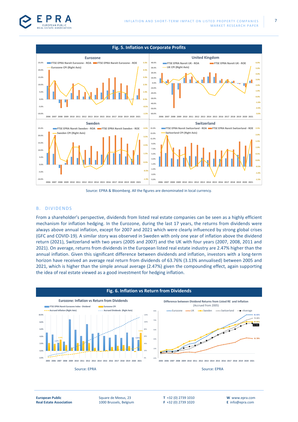

#### **Fig. 5. Inflation vs Corporate Profits United Kingdom Eurozone 25.0% FTSE EPRA Nareit Eurozone - ROA FTSE EPRA Nareit Eurozone - ROE 5.5% 40.0% FTSE EPRA Nareit UK - ROA FTSE EPRA Nareit UK - ROE 6.0% Eurozone CPI (Right Axis) 30.0% UK CPI (Right Axis) 5.0% 20.0% 4.5% 20.0% 4.0% 3.5% 10.0% 15.0% 3.0%** п **0.0% 2.5% 10.0% 2.0% -10.0% 1.0% 5.0% 1.5% -20.0% 0.0% -30.0% 0.0% 0.5% -1.0% -40.0% -5.0% -0.5% -50.0% -2.0% -10.0% -60.0% -3.0% -1.5% 2006 2007 2008 2009 2010 2011 2012 2013 2014 2015 2016 2017 2018 2019 2020 2021 2006 2007 2008 2009 2010 2011 2012 2013 2014 2015 2016 2017 2018 2019 2020 2021 Sweden Switzerland 25.0% 4.5% FTSE EPRA Nareit Sweden - ROA FTSE EPRA Nareit Sweden - ROE 15.0% 2.5% FTSE EPRA Nareit Switzerland - ROA FTSE EPRA Nareit Switzerland - ROE Sweden CPI (Right Axis) 13.0% Switzerland CPI (Right Axis) 2.0% 20.0% 3.5% 11.0% 1.5% 15.0% 9.0% 2.5% 7.0% 1.0% 10.0% 5.0% 1.5% 0.5% 5.0% 3.0% 0.0% 0.5% 1.0% 0.0% -0.5% -1.0% -5.0% -0.5% -3.0% -1.0% -10.0% -5.0% -1.5% -1.5% 2006 2007 2008 2009 2010 2011 2012 2013 2014 2015 2016 2017 2018 2019 2020 2021 2006 2007 2008 2009 2010 2011 2012 2013 2014 2015 2016 2017 2018 2019 2020 2021**

Source: EPRA & Bloomberg. All the figures are denominated in local currency.

#### B. DIVIDENDS

From a shareholder's perspective, dividends from listed real estate companies can be seen as a highly efficient mechanism for inflation hedging. In the Eurozone, during the last 17 years, the returns from dividends were always above annual inflation, except for 2007 and 2021 which were clearly influenced by strong global crises (GFC and COVID-19). A similar story was observed in Sweden with only one year of inflation above the dividend return (2021), Switzerland with two years (2005 and 2007) and the UK with four years (2007, 2008, 2011 and 2021). On average, returns from dividends in the European listed real estate industry are 2.47% higher than the annual inflation. Given this significant difference between dividends and inflation, investors with a long-term horizon have received an average real return from dividends of 63.76% (3.13% annualised) between 2005 and 2021, which is higher than the simple annual average (2.47%) given the compounding effect, again supporting the idea of real estate viewed as a good investment for hedging inflation.



Square de Meeus, 23 1000 Brussels, Belgium **T** +32 (0) 2739 1010 **F** +32 (0) 2739 1020

**W** www.epra.com **E** info@epra.com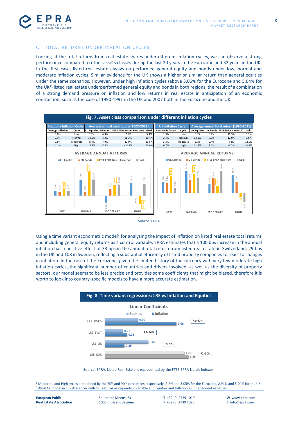

### C. TOTAL RETURNS UNDER INFLATION CYCLES

Looking at the total returns from real estate shares under different inflation cycles, we can observe a strong performance compared to other assets classes during the last 20 years in the Eurozone and 32 years in the UK. In the first case, listed real estate always outperformed general equity and bonds under low, normal and moderate inflation cycles. Similar evidence for the UK shows a higher or similar return than general equities under the same scenarios. However, under high inflation cycles (above 3.06% for the Eurozone and 5.04% for the UK<sup>1</sup>) listed real estate underperformed general equity and bonds in both regions, the result of a combination of a strong demand pressure on inflation and low returns in real estate in anticipation of an economic contraction, such as the case of 1990-1991 in the UK and 2007 both in the Eurozone and the UK.



Source: EPRA

Using a time variant econometric model<sup>2</sup> for analysing the impact of inflation on listed real estate total returns and including general equity returns as a control variable, EPRA estimates that a 100 bps increase in the annual inflation has a positive effect of 33 bps in the annual total return from listed real estate in Switzerland, 29 bps in the UK and 108 in Sweden, reflecting a substantial efficiency of listed property companies to react to changes in inflation. In the case of the Eurozone, given the limited history of the currency with very few moderate high inflation cycles, the significant number of countries and drivers involved, as well as the diversity of property sectors, our model seems to be less precise and provides some coefficients that might be biased, therefore it is worth to look into country-specific models to have a more accurate estimation.



Source: EPRA. Listed Real Estate is represented by the FTSE EPRA Nareit Indexes.

<sup>&</sup>lt;sup>1</sup> Moderate and High cycles are defined by the 70<sup>th</sup> and 90<sup>th</sup> percentiles respectively, 2.2% and 3.05% for the Eurozone, 2.91% and 5.04% for the UK.